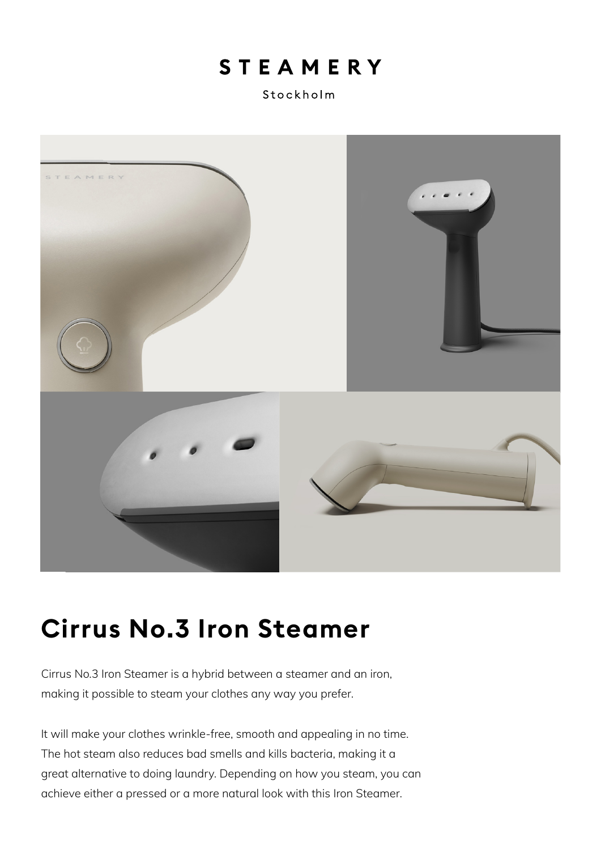## **STEAMERY**

Stockholm



# **Cirrus No.3 Iron Steamer**

Cirrus No.3 Iron Steamer is a hybrid between a steamer and an iron, making it possible to steam your clothes any way you prefer.

It will make your clothes wrinkle-free, smooth and appealing in no time. The hot steam also reduces bad smells and kills bacteria, making it a great alternative to doing laundry. Depending on how you steam, you can achieve either a pressed or a more natural look with this Iron Steamer.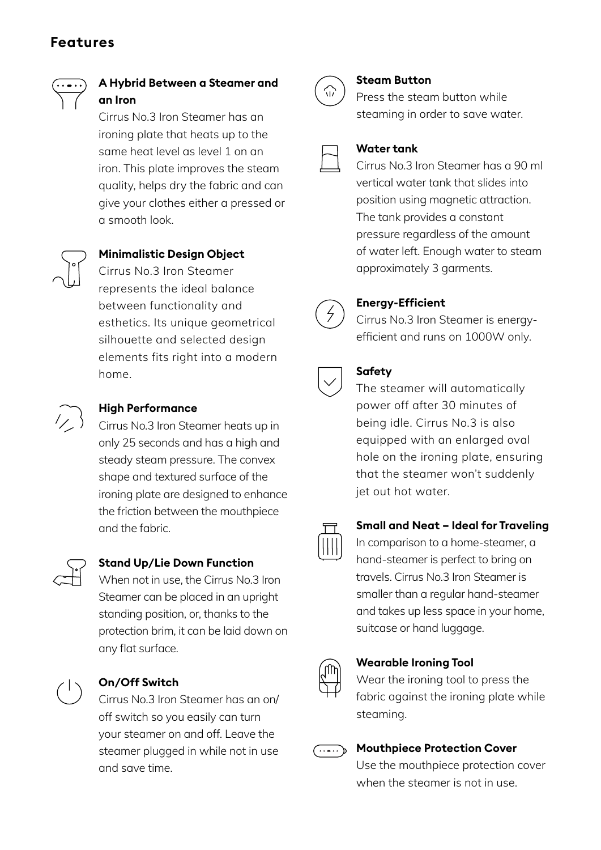## **Features**



### **A Hybrid Between a Steamer and an Iron**

Cirrus No.3 Iron Steamer has an ironing plate that heats up to the same heat level as level 1 on an iron. This plate improves the steam quality, helps dry the fabric and can give your clothes either a pressed or a smooth look.



#### **Minimalistic Design Object**

Cirrus No.3 Iron Steamer represents the ideal balance between functionality and esthetics. Its unique geometrical silhouette and selected design elements fits right into a modern home.



#### **High Performance**

Cirrus No.3 Iron Steamer heats up in only 25 seconds and has a high and steady steam pressure. The convex shape and textured surface of the ironing plate are designed to enhance the friction between the mouthpiece and the fabric.



#### **Stand Up/Lie Down Function**

When not in use, the Cirrus No.3 Iron Steamer can be placed in an upright standing position, or, thanks to the protection brim, it can be laid down on any flat surface.



#### **On/Off Switch**

Cirrus No.3 Iron Steamer has an on/ off switch so you easily can turn your steamer on and off. Leave the steamer plugged in while not in use and save time.



#### **Steam Button**

Press the steam button while steaming in order to save water.

#### **Water tank**

Cirrus No.3 Iron Steamer has a 90 ml vertical water tank that slides into position using magnetic attraction. The tank provides a constant pressure regardless of the amount of water left. Enough water to steam approximately 3 garments.



#### **Energy-Efficient**

Cirrus No.3 Iron Steamer is energyefficient and runs on 1000W only.

| ֠ |  |
|---|--|
|   |  |

#### **Safety**

The steamer will automatically power off after 30 minutes of being idle. Cirrus No.3 is also equipped with an enlarged oval hole on the ironing plate, ensuring that the steamer won't suddenly jet out hot water.



#### **Small and Neat – Ideal for Traveling**

In comparison to a home-steamer, a hand-steamer is perfect to bring on travels. Cirrus No.3 Iron Steamer is smaller than a regular hand-steamer and takes up less space in your home, suitcase or hand luggage.



#### **Wearable Ironing Tool**

Wear the ironing tool to press the fabric against the ironing plate while steaming.



#### **Mouthpiece Protection Cover**

Use the mouthpiece protection cover when the steamer is not in use.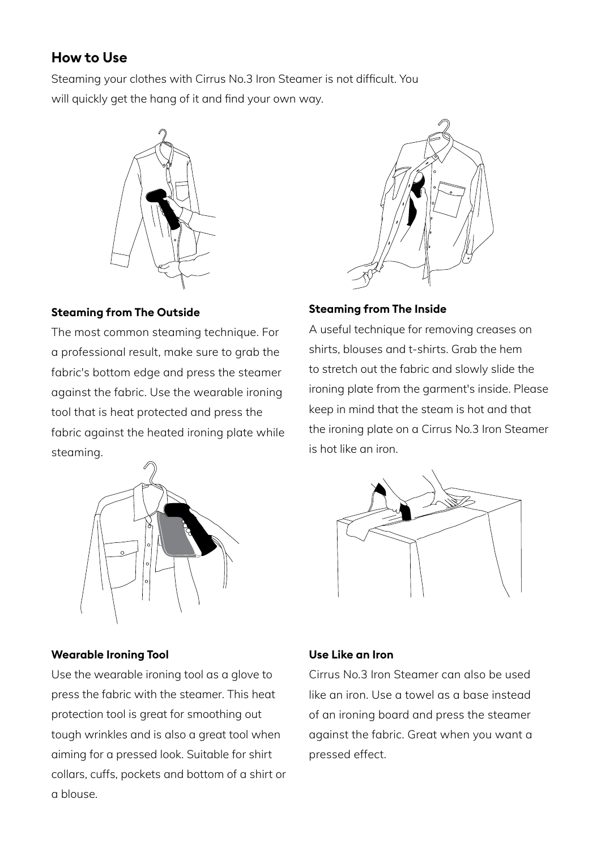## **How to Use**

Steaming your clothes with Cirrus No.3 Iron Steamer is not difficult. You will quickly get the hang of it and find your own way.



#### **Steaming from The Outside**

The most common steaming technique. For a professional result, make sure to grab the fabric's bottom edge and press the steamer against the fabric. Use the wearable ironing tool that is heat protected and press the fabric against the heated ironing plate while steaming.



#### **Steaming from The Inside**

A useful technique for removing creases on shirts, blouses and t-shirts. Grab the hem to stretch out the fabric and slowly slide the ironing plate from the garment's inside. Please keep in mind that the steam is hot and that the ironing plate on a Cirrus No.3 Iron Steamer is hot like an iron.



#### **Wearable Ironing Tool**

Use the wearable ironing tool as a glove to press the fabric with the steamer. This heat protection tool is great for smoothing out tough wrinkles and is also a great tool when aiming for a pressed look. Suitable for shirt collars, cuffs, pockets and bottom of a shirt or a blouse.



#### **Use Like an Iron**

Cirrus No.3 Iron Steamer can also be used like an iron. Use a towel as a base instead of an ironing board and press the steamer against the fabric. Great when you want a pressed effect.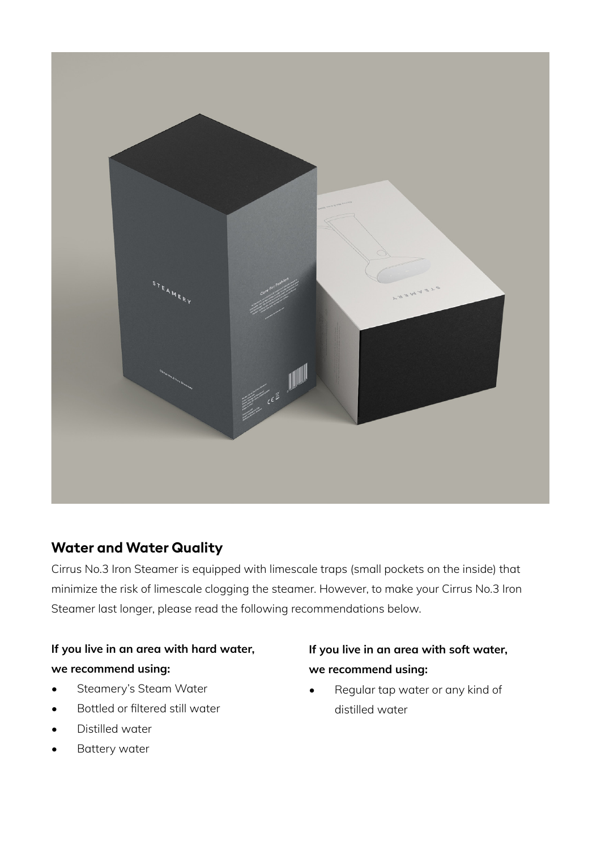

## **Water and Water Quality**

Cirrus No.3 Iron Steamer is equipped with limescale traps (small pockets on the inside) that minimize the risk of limescale clogging the steamer. However, to make your Cirrus No.3 Iron Steamer last longer, please read the following recommendations below.

## **If you live in an area with hard water, we recommend using:**

- Steamery's Steam Water
- Bottled or filtered still water
- Distilled water
- Battery water

## **If you live in an area with soft water, we recommend using:**

• Regular tap water or any kind of distilled water